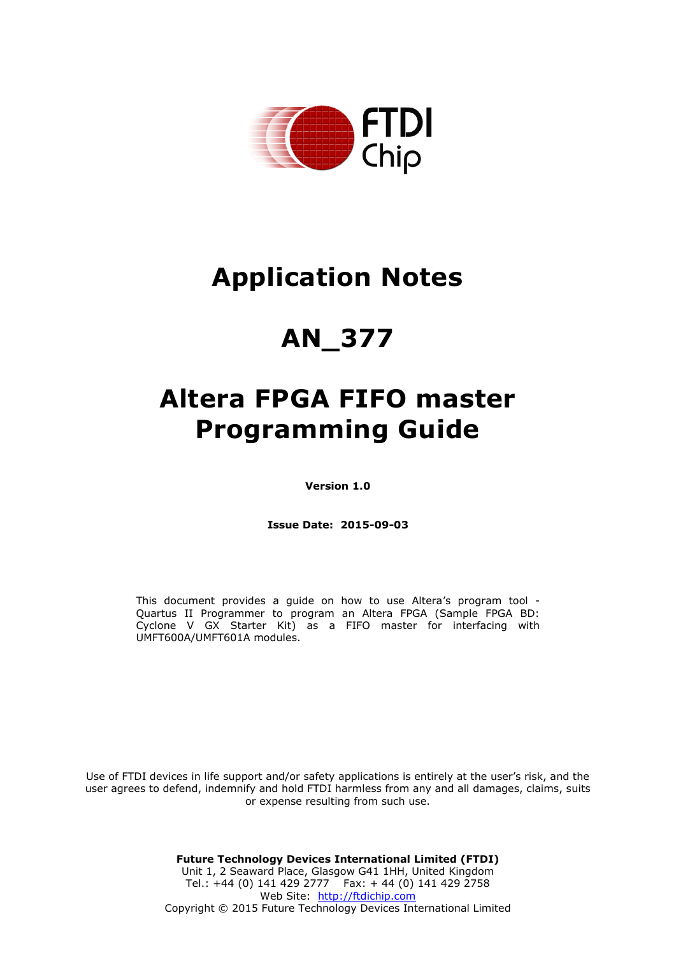

# **Application Notes**

# **AN\_377**

# **Altera FPGA FIFO master Programming Guide**

**Version 1.0**

**Issue Date: 2015-09-03**

This document provides a guide on how to use Altera's program tool - Quartus II Programmer to program an Altera FPGA (Sample FPGA BD: Cyclone V GX Starter Kit) as a FIFO master for interfacing with UMFT600A/UMFT601A modules.

Use of FTDI devices in life support and/or safety applications is entirely at the user's risk, and the user agrees to defend, indemnify and hold FTDI harmless from any and all damages, claims, suits or expense resulting from such use.

> **Future Technology Devices International Limited (FTDI)** Unit 1, 2 Seaward Place, Glasgow G41 1HH, United Kingdom Tel.: +44 (0) 141 429 2777 Fax: + 44 (0) 141 429 2758 Web Site: [http://ftdichip.com](http://ftdichip.com/) Copyright © 2015 Future Technology Devices International Limited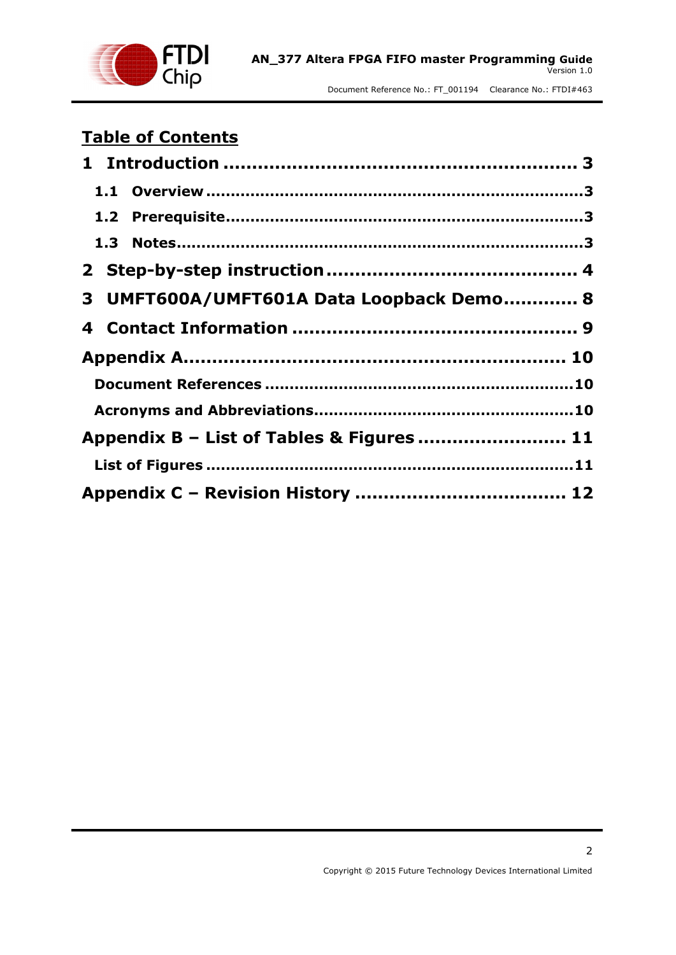

## **Table of Contents**

| 3 UMFT600A/UMFT601A Data Loopback Demo 8  |  |
|-------------------------------------------|--|
|                                           |  |
|                                           |  |
|                                           |  |
|                                           |  |
| Appendix B - List of Tables & Figures  11 |  |
|                                           |  |
|                                           |  |

2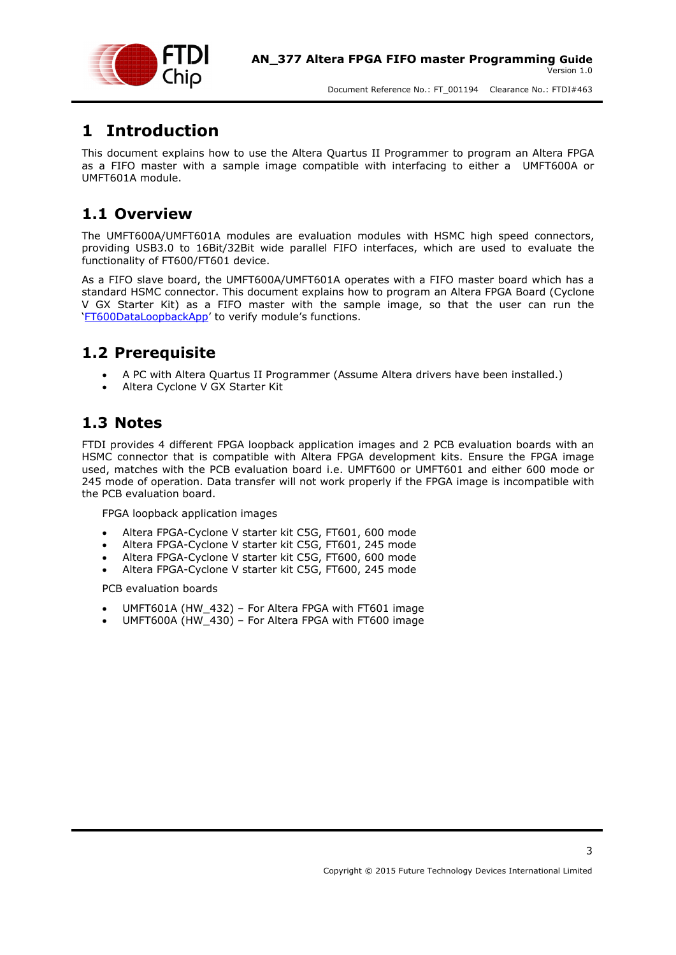

### <span id="page-2-0"></span>**1 Introduction**

This document explains how to use the Altera Quartus II Programmer to program an Altera FPGA as a FIFO master with a sample image compatible with interfacing to either a UMFT600A or UMFT601A module.

### <span id="page-2-1"></span>**1.1 Overview**

The UMFT600A/UMFT601A modules are evaluation modules with HSMC high speed connectors, providing USB3.0 to 16Bit/32Bit wide parallel FIFO interfaces, which are used to evaluate the functionality of FT600/FT601 device.

As a FIFO slave board, the UMFT600A/UMFT601A operates with a FIFO master board which has a standard HSMC connector. This document explains how to program an Altera FPGA Board (Cyclone V GX Starter Kit) as a FIFO master with the sample image, so that the user can run the '[FT600DataLoopbackApp](http://www.ftdichip.com/Support/SoftwareExamples/FT60X.htm)' to verify module's functions.

### <span id="page-2-2"></span>**1.2 Prerequisite**

- A PC with Altera Quartus II Programmer (Assume Altera drivers have been installed.)
- Altera Cyclone V GX Starter Kit

### <span id="page-2-3"></span>**1.3 Notes**

FTDI provides 4 different FPGA loopback application images and 2 PCB evaluation boards with an HSMC connector that is compatible with Altera FPGA development kits. Ensure the FPGA image used, matches with the PCB evaluation board i.e. UMFT600 or UMFT601 and either 600 mode or 245 mode of operation. Data transfer will not work properly if the FPGA image is incompatible with the PCB evaluation board.

FPGA loopback application images

- Altera FPGA-Cyclone V starter kit C5G, FT601, 600 mode
- Altera FPGA-Cyclone V starter kit C5G, FT601, 245 mode
- Altera FPGA-Cyclone V starter kit C5G, FT600, 600 mode
- Altera FPGA-Cyclone V starter kit C5G, FT600, 245 mode

PCB evaluation boards

- UMFT601A (HW\_432) For Altera FPGA with FT601 image
- UMFT600A (HW\_430) For Altera FPGA with FT600 image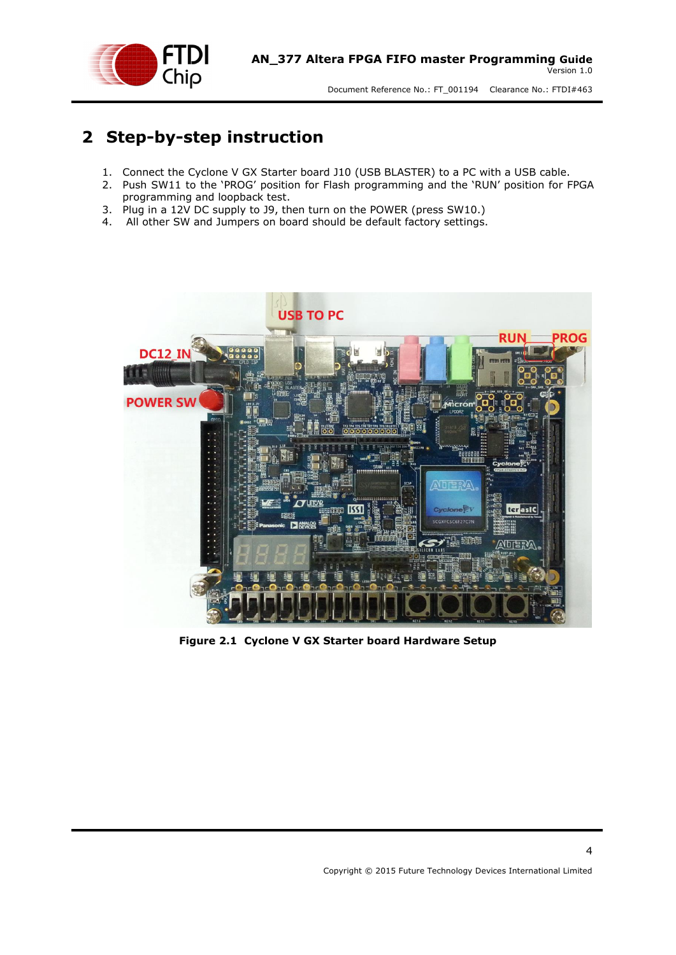

## <span id="page-3-0"></span>**2 Step-by-step instruction**

- 1. Connect the Cyclone V GX Starter board J10 (USB BLASTER) to a PC with a USB cable.
- 2. Push SW11 to the 'PROG' position for Flash programming and the 'RUN' position for FPGA programming and loopback test.
- 3. Plug in a 12V DC supply to J9, then turn on the POWER (press SW10.)
- 4. All other SW and Jumpers on board should be default factory settings.

<span id="page-3-1"></span>

**Figure 2.1 Cyclone V GX Starter board Hardware Setup**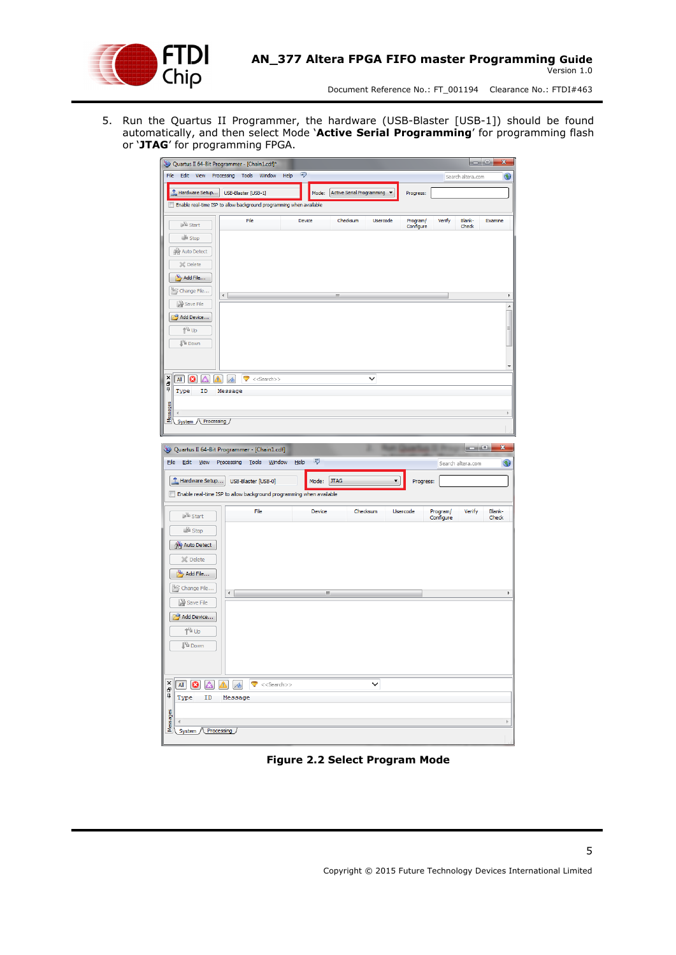

5. Run the Quartus II Programmer, the hardware (USB-Blaster [USB-1]) should be found automatically, and then select Mode '**Active Serial Programming**' for programming flash or '**JTAG**' for programming FPGA.

|                                                               | Quartus II 64-Bit Programmer - [Chain1.cdf]*                                                    |                    |                                 |                       |                           | X<br>$= 0$                              |
|---------------------------------------------------------------|-------------------------------------------------------------------------------------------------|--------------------|---------------------------------|-----------------------|---------------------------|-----------------------------------------|
| File                                                          | Edit View Processing Tools Window<br>Help                                                       | ₹                  |                                 |                       | Search altera.com         | €                                       |
| Hardware Setup USB-Blaster [USB-1]                            |                                                                                                 |                    | Mode: Active Serial Programming | Progress:             |                           |                                         |
|                                                               | Enable real-time ISP to allow background programming when available                             |                    |                                 |                       |                           |                                         |
| <sup>5</sup> Start                                            | File                                                                                            | Device             | Checksum<br><b>Usercode</b>     | Program/<br>Configure | Blank-<br>Verify<br>Check | Examine                                 |
| <b>Stop</b>                                                   |                                                                                                 |                    |                                 |                       |                           |                                         |
| Auto Detect                                                   |                                                                                                 |                    |                                 |                       |                           |                                         |
| X Delete                                                      |                                                                                                 |                    |                                 |                       |                           |                                         |
| Add File                                                      |                                                                                                 |                    |                                 |                       |                           |                                         |
| Change File                                                   | $\leftarrow$                                                                                    |                    | Ш                               |                       |                           |                                         |
| Save File                                                     |                                                                                                 |                    |                                 |                       |                           | $\overline{\phantom{a}}$                |
| Add Device                                                    |                                                                                                 |                    |                                 |                       |                           | Ξ                                       |
| 1 <sup>™</sup> Up<br><b>J</b> <sup>V</sup> <sup>II</sup> Down |                                                                                                 |                    |                                 |                       |                           |                                         |
|                                                               |                                                                                                 |                    |                                 |                       |                           |                                         |
|                                                               |                                                                                                 |                    |                                 |                       |                           |                                         |
| ×<br>Δ<br>All<br>$\boldsymbol{\omega}$<br>a<br>P              | $\blacktriangleright$ < <search>&gt;<br/><math>\Delta</math> <math>\sim</math></search>         |                    | $\checkmark$                    |                       |                           |                                         |
| Type<br>ID                                                    | Message                                                                                         |                    |                                 |                       |                           |                                         |
| Messages                                                      |                                                                                                 |                    |                                 |                       |                           | b.                                      |
| System / Processing /                                         |                                                                                                 |                    |                                 |                       |                           |                                         |
|                                                               |                                                                                                 |                    |                                 |                       |                           |                                         |
|                                                               |                                                                                                 |                    |                                 |                       |                           |                                         |
|                                                               | Quartus II 64-Bit Programmer - [Chain1.cdf]                                                     |                    |                                 |                       |                           | $=$ $\bullet$ $\bullet$<br>$\mathbf{x}$ |
| Eile<br>Edit View Processing                                  | Tools<br>Window                                                                                 | $\bigcirc$<br>Help |                                 |                       | Search altera.com         | $\bigcirc$                              |
| Hardware Setup                                                | USB-Blaster [USB-0]                                                                             | Mode:              | <b>JTAG</b>                     | ٠<br>Progress:        |                           |                                         |
|                                                               | Enable real-time ISP to allow background programming when available                             |                    |                                 |                       |                           |                                         |
|                                                               | File                                                                                            | Device             | Checksum                        | Usercode              | Verify                    | Blank-                                  |
| <b>Start</b>                                                  |                                                                                                 |                    |                                 |                       | Program/<br>Configure     | Check                                   |
| <b>B</b> Stop                                                 |                                                                                                 |                    |                                 |                       |                           |                                         |
| Auto Detect                                                   |                                                                                                 |                    |                                 |                       |                           |                                         |
| X Delete                                                      |                                                                                                 |                    |                                 |                       |                           |                                         |
| Add File                                                      |                                                                                                 |                    |                                 |                       |                           |                                         |
| Change File                                                   | $\leftarrow$                                                                                    |                    | Ш                               |                       |                           |                                         |
| Save File                                                     |                                                                                                 |                    |                                 |                       |                           |                                         |
| Add Device                                                    |                                                                                                 |                    |                                 |                       |                           |                                         |
| 1 <sup>N</sup> Up                                             |                                                                                                 |                    |                                 |                       |                           |                                         |
| <b>J</b> <sup>W</sup> Down                                    |                                                                                                 |                    |                                 |                       |                           |                                         |
|                                                               |                                                                                                 |                    |                                 |                       |                           |                                         |
| ×<br>Δ<br>AI B                                                | $\blacktriangle$<br>$\mathcal{A}_{\mathcal{A}}$<br>$\blacktriangledown$ < <search>&gt;</search> |                    | $\checkmark$                    |                       |                           |                                         |
| đ<br>D<br>ID<br>Type                                          | Message                                                                                         |                    |                                 |                       |                           |                                         |
|                                                               |                                                                                                 |                    |                                 |                       |                           |                                         |
| Messages<br>System / Processing                               |                                                                                                 |                    |                                 |                       |                           | þ.                                      |

<span id="page-4-0"></span>**Figure 2.2 Select Program Mode**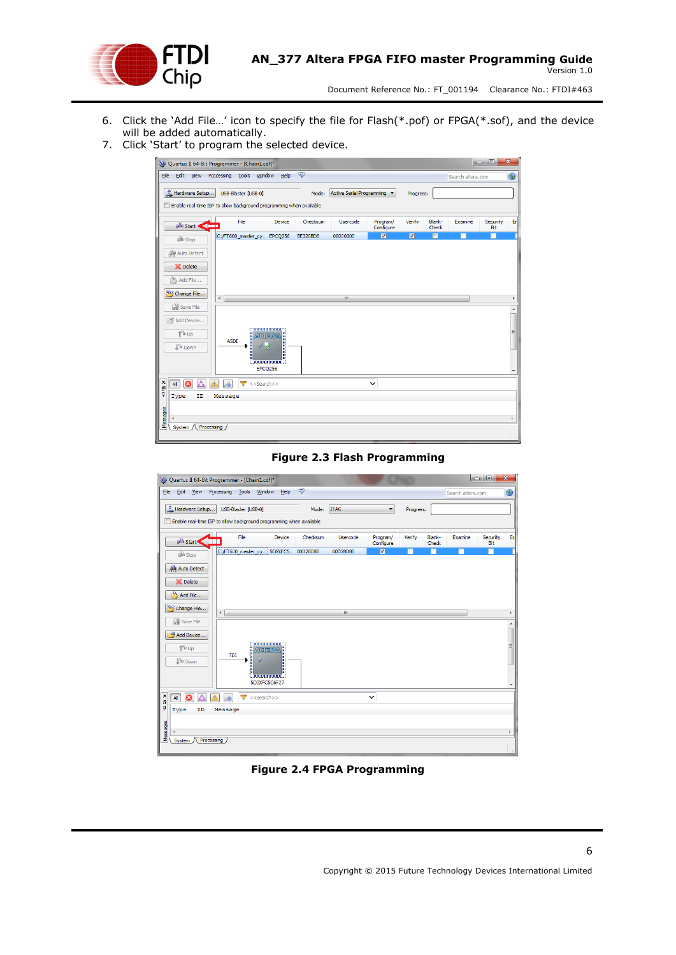

- 6. Click the 'Add File…' icon to specify the file for Flash(\*.pof) or FPGA(\*.sof), and the device will be added automatically.
- 7. Click 'Start' to program the selected device.

|                                        |                                 |              |                      | Quartus II 64-Bit Programmer - [Chain1.cdf]* |                                    |                                                                     |                           |                         |                         |                 |                   | $= 0$           | $\mathbf{x}$ |
|----------------------------------------|---------------------------------|--------------|----------------------|----------------------------------------------|------------------------------------|---------------------------------------------------------------------|---------------------------|-------------------------|-------------------------|-----------------|-------------------|-----------------|--------------|
|                                        |                                 |              |                      | File Edit View Processing Tools Window Help  |                                    | 早                                                                   |                           |                         |                         |                 | Search altera.com |                 | G            |
|                                        | Hardware Setup                  |              |                      | USB-Blaster [USB-0]                          |                                    | Mode:                                                               | Active Serial Programming |                         | Progress:               |                 |                   |                 |              |
|                                        |                                 |              |                      |                                              |                                    | Enable real-time ISP to allow background programming when available |                           |                         |                         |                 |                   |                 |              |
|                                        | $\mathbb{R}^{\mathbb{N}}$ Start | $\leftarrow$ |                      | File                                         | Device                             | Checksum                                                            | Usercode                  | Program/<br>Configure   | Verify                  | Blank-<br>Check | Examine           | Security<br>Bit | Er.          |
|                                        | <b>Stop</b>                     |              |                      | C:/FT600_master_cy EPCQ256                   |                                    | <b>BE320BD6</b>                                                     | 00000000                  | $\overline{\mathbf{z}}$ | $\overline{\mathbf{M}}$ | П               |                   |                 |              |
|                                        | Auto Detect                     |              |                      |                                              |                                    |                                                                     |                           |                         |                         |                 |                   |                 |              |
|                                        | X Delete                        |              |                      |                                              |                                    |                                                                     |                           |                         |                         |                 |                   |                 |              |
|                                        | Add File                        |              |                      |                                              |                                    |                                                                     |                           |                         |                         |                 |                   |                 |              |
|                                        | Change File                     |              | $\blacktriangleleft$ |                                              |                                    |                                                                     | $\mathbf{m}$              |                         |                         |                 |                   |                 |              |
|                                        | Save File                       |              |                      |                                              |                                    |                                                                     |                           |                         |                         |                 |                   |                 |              |
|                                        | Add Device                      |              |                      |                                              |                                    |                                                                     |                           |                         |                         |                 |                   |                 |              |
|                                        | <b>↑</b> Up                     |              | <b>ASDI</b>          | ANDITEI                                      |                                    |                                                                     |                           |                         |                         |                 |                   |                 | Ε            |
|                                        | <b>J'i</b> Down                 |              |                      | ИØ                                           | I                                  |                                                                     |                           |                         |                         |                 |                   |                 |              |
|                                        |                                 |              |                      |                                              | <b>*********</b><br><b>EPCQ256</b> |                                                                     |                           |                         |                         |                 |                   |                 |              |
|                                        |                                 |              |                      |                                              |                                    |                                                                     |                           |                         |                         |                 |                   |                 |              |
| $\frac{\mathsf{x}}{\mathsf{d}^2}$<br>ņ | a<br>All                        |              |                      | ◓<br>$<<$ Search $>>$                        |                                    |                                                                     |                           | $\checkmark$            |                         |                 |                   |                 |              |
|                                        | Type                            | ID           | Message              |                                              |                                    |                                                                     |                           |                         |                         |                 |                   |                 |              |
| viessages                              | $\blacktriangleleft$            |              |                      |                                              |                                    |                                                                     |                           |                         |                         |                 |                   |                 | $\mathbb{R}$ |
|                                        | System / Processing             |              |                      |                                              |                                    |                                                                     |                           |                         |                         |                 |                   |                 |              |
|                                        |                                 |              |                      |                                              |                                    |                                                                     |                           |                         |                         |                 |                   |                 |              |

#### **Figure 2.3 Flash Programming**

<span id="page-5-0"></span>

#### <span id="page-5-1"></span>**Figure 2.4 FPGA Programming**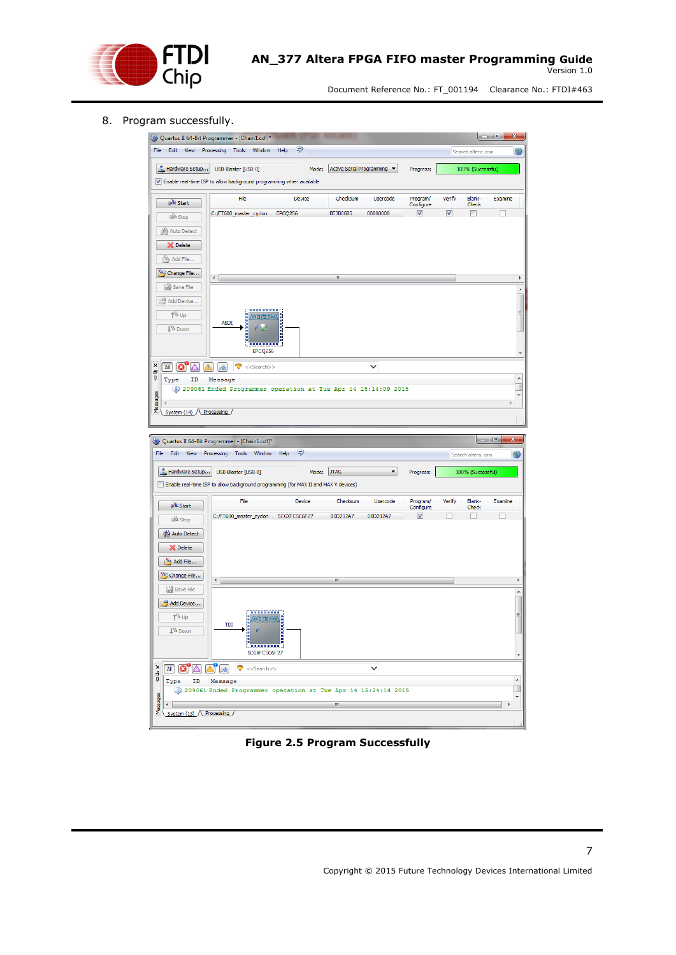

#### 8. Program successfully.

| Quartus II 64-Bit Programmer - [Chain1.cdf]*                                                                                                                              |                                     |                                         |           |                                                                  |                      |                       |               | $= 0$                      |                          |
|---------------------------------------------------------------------------------------------------------------------------------------------------------------------------|-------------------------------------|-----------------------------------------|-----------|------------------------------------------------------------------|----------------------|-----------------------|---------------|----------------------------|--------------------------|
| File<br>Edit View Processing Tools                                                                                                                                        |                                     | Window                                  | Q<br>Help |                                                                  |                      |                       |               | Search altera.com          |                          |
| Hardware Setup<br>T Enable real-time ISP to allow background programming when available                                                                                   | USB-Blaster [USB-0]                 |                                         | Mode:     | Active Serial Programming                                        |                      | Progress:             |               | 100% (Successful)          |                          |
| <b>W</b> Start                                                                                                                                                            | File                                |                                         | Device    | Checksum                                                         | Usercode             | Program/<br>Configure | Verify        | Blank-<br>Check            | Examine                  |
| <b>Stop</b>                                                                                                                                                               | C:/FT600_master_cyclon EPCQ256      |                                         |           | BE3B06B5                                                         | 00000000             | ⊽                     | ⊽             |                            |                          |
| Auto Detect                                                                                                                                                               |                                     |                                         |           |                                                                  |                      |                       |               |                            |                          |
| <b>X</b> Delete                                                                                                                                                           |                                     |                                         |           |                                                                  |                      |                       |               |                            |                          |
| Add File                                                                                                                                                                  |                                     |                                         |           |                                                                  |                      |                       |               |                            |                          |
| Change File                                                                                                                                                               | ۰                                   |                                         |           | Ш                                                                |                      |                       |               |                            |                          |
| Save File                                                                                                                                                                 |                                     |                                         |           |                                                                  |                      |                       |               |                            |                          |
| Add Device                                                                                                                                                                |                                     |                                         |           |                                                                  |                      |                       |               |                            |                          |
| ↑™ Up                                                                                                                                                                     | <b>ASDI</b>                         | ,,,,,,,,,<br>NOMBRYA                    |           |                                                                  |                      |                       |               |                            | Ξ                        |
| <b>I</b> <sup>V</sup> <sup>I</sup> Down                                                                                                                                   |                                     |                                         |           |                                                                  |                      |                       |               |                            |                          |
|                                                                                                                                                                           |                                     | .<br>EPCQ256                            |           |                                                                  |                      |                       |               |                            | ٠                        |
|                                                                                                                                                                           |                                     |                                         |           |                                                                  | ◡                    |                       |               |                            |                          |
| $\mathsf{All}$<br>$\alpha$                                                                                                                                                | 7<br>Message                        | $<<$ Search $>>$                        |           |                                                                  |                      |                       |               |                            | $\overline{\phantom{a}}$ |
|                                                                                                                                                                           |                                     |                                         |           |                                                                  |                      |                       |               |                            |                          |
| Type<br>ID                                                                                                                                                                |                                     |                                         |           | 10 209061 Ended Programmer operation at Tue Apr 14 15:14:09 2015 |                      |                       |               |                            |                          |
|                                                                                                                                                                           |                                     |                                         |           |                                                                  |                      |                       |               |                            |                          |
| System (14) Processing                                                                                                                                                    |                                     |                                         |           |                                                                  |                      |                       |               |                            |                          |
| Edit View                                                                                                                                                                 | Processing Tools                    | Window Help                             | Q         |                                                                  |                      |                       |               | الصار<br>Search altera.com | x<br>$\Box$<br>G         |
| Hardware Setup                                                                                                                                                            | USB-Blaster [USB-0]                 |                                         | Mode:     | <b>JTAG</b>                                                      | $\blacktriangledown$ | Progress:             |               | 100% (Successful)          |                          |
|                                                                                                                                                                           |                                     |                                         |           |                                                                  |                      |                       |               |                            |                          |
|                                                                                                                                                                           | File                                |                                         | Device    | Checksum                                                         | Usercode             | Program/              | <b>Verify</b> | Blank-                     | Examine                  |
| <b>W</b> Start                                                                                                                                                            | C:/FT600_master_cyclon 5CGXFC5C6F27 |                                         |           | 00D212A7                                                         | 00D212A7             | Configure<br>⊽        |               | Check                      |                          |
| <b>B</b> Stop                                                                                                                                                             |                                     |                                         |           |                                                                  |                      |                       |               |                            |                          |
| Auto Detect<br><b>Oelete</b>                                                                                                                                              |                                     |                                         |           |                                                                  |                      |                       |               |                            |                          |
| Add File                                                                                                                                                                  |                                     |                                         |           |                                                                  |                      |                       |               |                            |                          |
| Change File                                                                                                                                                               |                                     |                                         |           |                                                                  |                      |                       |               |                            |                          |
| Save File                                                                                                                                                                 | $\leftarrow$                        |                                         |           | Ш                                                                |                      |                       |               |                            |                          |
| Add Device                                                                                                                                                                |                                     |                                         |           |                                                                  |                      |                       |               |                            |                          |
| ↑™ Up                                                                                                                                                                     |                                     | wanwa<br>AND TERVA                      |           |                                                                  |                      |                       |               |                            |                          |
| Quartus II 64-Bit Programmer - [Chain1.cdf]*<br>File<br>Enable real-time ISP to allow background programming (for MAX II and MAX V devices)<br><b>J</b> <sup>W</sup> Down | TDI                                 |                                         | j         |                                                                  |                      |                       |               |                            | þ<br>A<br>Ξ              |
|                                                                                                                                                                           |                                     |                                         |           |                                                                  |                      |                       |               |                            |                          |
|                                                                                                                                                                           |                                     | 5CGXFC5C6F27                            |           |                                                                  |                      |                       |               |                            |                          |
| $\bullet$ $\bullet$<br>$\times$<br>All<br>Đ                                                                                                                               |                                     | $\triangledown$ < <search>&gt;</search> |           |                                                                  | $\check{ }$          |                       |               |                            |                          |
| ņ<br>Type                                                                                                                                                                 | ID Message                          |                                         |           | 1 209061 Ended Programmer operation at Tue Apr 14 15:24:14 2015  |                      |                       |               |                            | $\overline{\phantom{a}}$ |
| Messages                                                                                                                                                                  |                                     |                                         |           | m,                                                               |                      |                       |               |                            | ٠                        |

<span id="page-6-0"></span>**Figure 2.5 Program Successfully**

7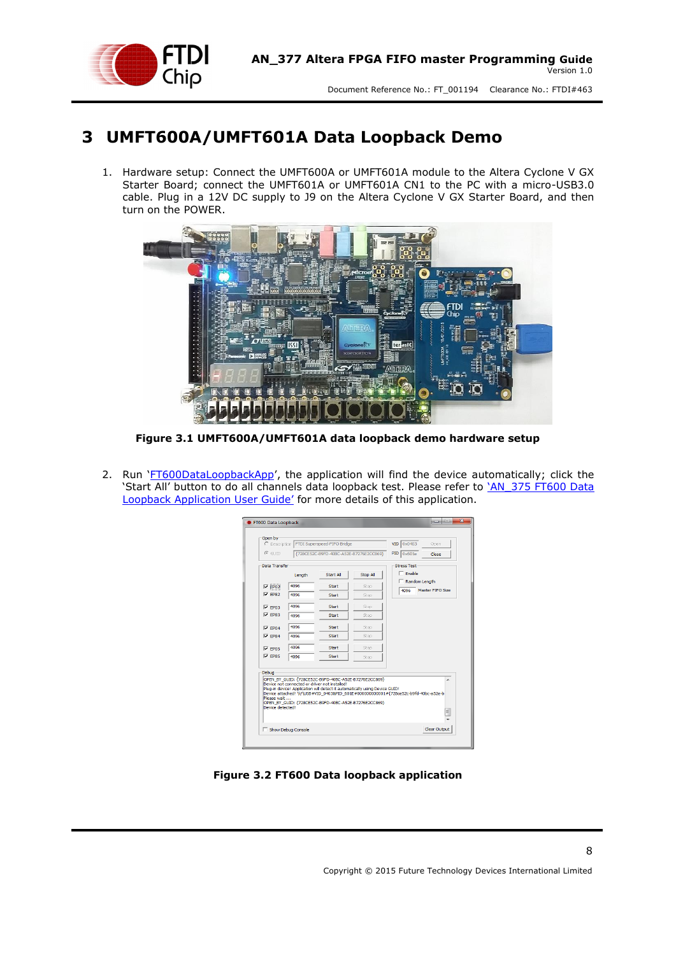

### <span id="page-7-0"></span>**3 UMFT600A/UMFT601A Data Loopback Demo**

1. Hardware setup: Connect the UMFT600A or UMFT601A module to the Altera Cyclone V GX Starter Board; connect the UMFT601A or UMFT601A CN1 to the PC with a micro-USB3.0 cable. Plug in a 12V DC supply to J9 on the Altera Cyclone V GX Starter Board, and then turn on the POWER.



**Figure 3.1 UMFT600A/UMFT601A data loopback demo hardware setup**

<span id="page-7-1"></span>2. Run '[FT600DataLoopbackApp](http://www.ftdichip.com/Support/Utilities.htm)', the application will find the device automatically; click the 'Start All' button to do all channels data loopback test. Please refer to '[AN\\_375 FT600 Data](http://www.ftdichip.com/Support/Documents/AppNotes/AN_377%20Altera%20FPGA%20FIFO%20master%20Programming%20Guide.pdf)  Loopback Appl[ication User Guide'](http://www.ftdichip.com/Support/Documents/AppNotes/AN_377%20Altera%20FPGA%20FIFO%20master%20Programming%20Guide.pdf) for more details of this application.

| C Description                   |                                               | FTDI Superspeed-FIFO Bridge |                                                                                                                                                                                             | VID 0x0403<br>Open                                                                           |
|---------------------------------|-----------------------------------------------|-----------------------------|---------------------------------------------------------------------------------------------------------------------------------------------------------------------------------------------|----------------------------------------------------------------------------------------------|
| $C$ GLIID                       |                                               |                             | {728CE52C-B9FD-40BC-A52E-B7276E2CC869}                                                                                                                                                      | PID<br>0x601e<br>Close                                                                       |
| Data Transfer                   |                                               |                             |                                                                                                                                                                                             | <b>Stress Test</b>                                                                           |
|                                 | Length                                        | Start All                   | Stop All                                                                                                                                                                                    | $\Box$ Enable                                                                                |
| $\nabla$ EP02                   | 4096                                          | <b>Start</b>                | Stop                                                                                                                                                                                        | $\Gamma$ Random Length<br>Master EIEO Size                                                   |
| $\nabla$ FP82                   | 4096                                          | Start                       | Stop                                                                                                                                                                                        | 4096                                                                                         |
| $\nabla$ EP03                   | 4096                                          | Start                       | Stop                                                                                                                                                                                        |                                                                                              |
| $\nabla$ EP83                   | 4096                                          | Start                       | Stop                                                                                                                                                                                        |                                                                                              |
| $\nabla$ EP04                   | 4096                                          | Start                       | Stop                                                                                                                                                                                        |                                                                                              |
| $\nabla$ FP84                   | 4096                                          | <b>Start</b>                | Stop                                                                                                                                                                                        |                                                                                              |
| $\nabla$ EP05                   | 4096                                          | Start                       | Stop                                                                                                                                                                                        |                                                                                              |
| $\nabla$ EP85                   | 4096                                          | <b>Start</b>                | Stop                                                                                                                                                                                        |                                                                                              |
| <b>Debug</b>                    |                                               |                             |                                                                                                                                                                                             |                                                                                              |
| Please wait<br>Device detected! | Device not connected or driver not installed! |                             | OPEN BY GUID: {728CE52C-B9FD-40BC-A52E-B7276E2CC869}<br>Plug-in device! Application will detect it automatically using Device GUID!<br>OPEN BY GUID: {728CE52C-B9FD-40BC-A52E-B7276E2CC869} | ۸<br>Device attached! \\?\USB#VID 0403&PID 601E#000000000001#{728ce52c-b9fd-40bc-a52e-b<br>E |

<span id="page-7-2"></span>**Figure 3.2 FT600 Data loopback application**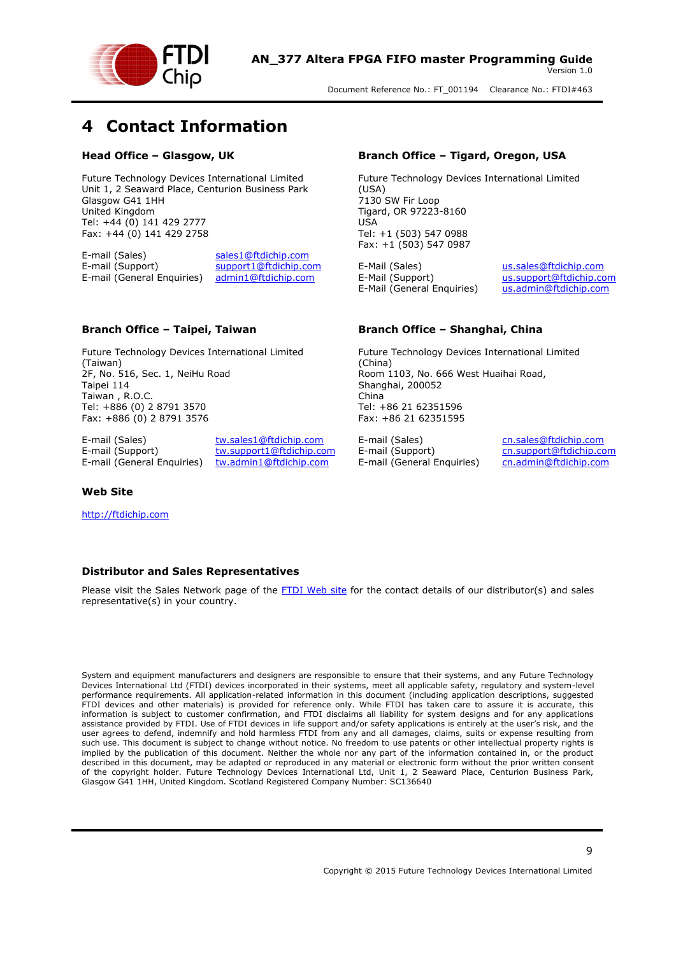

### <span id="page-8-0"></span>**4 Contact Information**

#### **Head Office – Glasgow, UK**

Future Technology Devices International Limited Unit 1, 2 Seaward Place, Centurion Business Park Glasgow G41 1HH United Kingdom Tel: +44 (0) 141 429 2777 Fax: +44 (0) 141 429 2758

E-mail (Sales) [sales1@ftdichip.com](mailto:sales1@ftdichip.com)<br>E-mail (Support) support1@ftdichip.com [support1@ftdichip.com](mailto:support1@ftdichip.com)<br>admin1@ftdichip.com  $E$ -mail (General Enquiries)

#### **Branch Office – Taipei, Taiwan**

Future Technology Devices International Limited (Taiwan) 2F, No. 516, Sec. 1, NeiHu Road Taipei 114 Taiwan , R.O.C. Tel: +886 (0) 2 8791 3570 Fax: +886 (0) 2 8791 3576

E-mail (Sales) [tw.sales1@ftdichip.com](mailto:tw.sales1@ftdichip.com)

E-mail (Support) [tw.support1@ftdichip.com](mailto:tw.support1@ftdichip.com) E-mail (General Enquiries) [tw.admin1@ftdichip.com](mailto:tw.admin1@ftdichip.com)

#### **Web Site**

[http://ftdichip.com](http://ftdichip.com/)

#### **Branch Office – Tigard, Oregon, USA**

Future Technology Devices International Limited (USA) 7130 SW Fir Loop Tigard, OR 97223-8160 USA Tel: +1 (503) 547 0988 Fax: +1 (503) 547 0987

E-Mail (Sales) [us.sales@ftdichip.com](mailto:us.sales@ftdichip.com)<br>E-Mail (Support) us.support@ftdichip.co E-Mail (General Enquiries) [us.admin@ftdichip.com](mailto:us.admin@ftdichip.com)

[us.support@ftdichip.com](mailto:us.support@ftdichip.com)

#### **Branch Office – Shanghai, China**

Future Technology Devices International Limited (China) Room 1103, No. 666 West Huaihai Road, Shanghai, 200052 China Tel: +86 21 62351596 Fax: +86 21 62351595

E-mail (Sales) [cn.sales@ftdichip.com](mailto:cn.sales@ftdichip.com) E-mail (Support) [cn.support@ftdichip.com](mailto:cn.support@ftdichip.com) E-mail (General Enquiries) [cn.admin@ftdichip.com](mailto:cn.admin@ftdichip.com)

#### **Distributor and Sales Representatives**

Please visit the Sales Network page of the [FTDI Web site](http://www.ftdichip.com/) for the contact details of our distributor(s) and sales representative(s) in your country.

System and equipment manufacturers and designers are responsible to ensure that their systems, and any Future Technology Devices International Ltd (FTDI) devices incorporated in their systems, meet all applicable safety, regulatory and system-level performance requirements. All application-related information in this document (including application descriptions, suggested FTDI devices and other materials) is provided for reference only. While FTDI has taken care to assure it is accurate, this information is subject to customer confirmation, and FTDI disclaims all liability for system designs and for any applications assistance provided by FTDI. Use of FTDI devices in life support and/or safety applications is entirely at the user's risk, and the user agrees to defend, indemnify and hold harmless FTDI from any and all damages, claims, suits or expense resulting from such use. This document is subject to change without notice. No freedom to use patents or other intellectual property rights is implied by the publication of this document. Neither the whole nor any part of the information contained in, or the product described in this document, may be adapted or reproduced in any material or electronic form without the prior written consent of the copyright holder. Future Technology Devices International Ltd, Unit 1, 2 Seaward Place, Centurion Business Park, Glasgow G41 1HH, United Kingdom. Scotland Registered Company Number: SC136640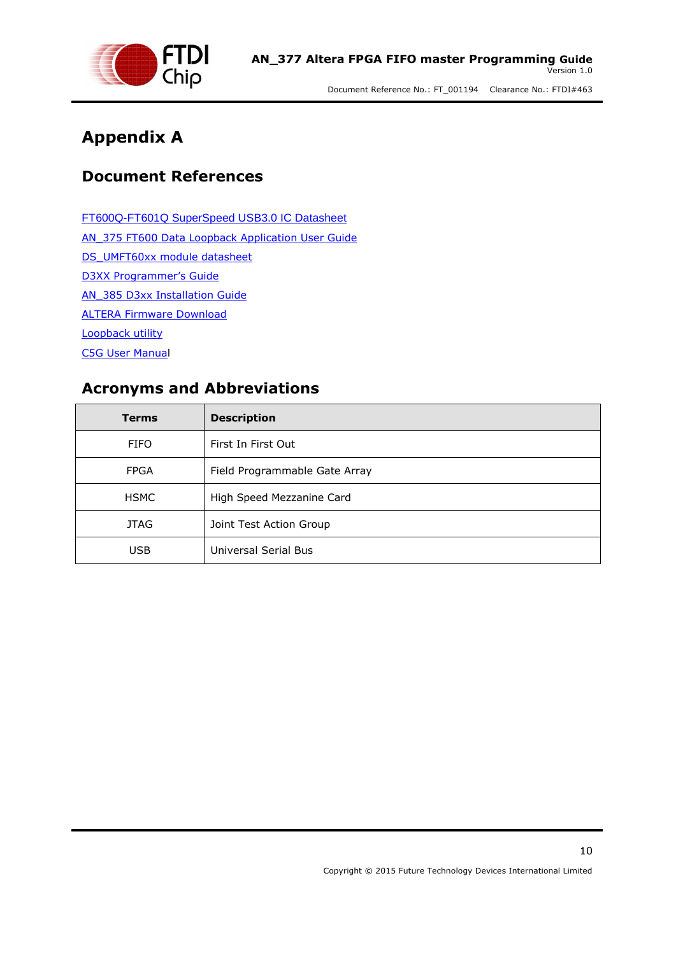

### <span id="page-9-0"></span>**Appendix A**

### <span id="page-9-1"></span>**Document References**

[FT600Q-FT601Q SuperSpeed USB3.0 IC Datasheet](http://www.ftdichip.com/Support/Documents/DataSheets/ICs/DS_FT600Q-FT601Q%20IC%20Datasheet.pdf) AN 375 FT600 Data Loopback Application User Guide [DS\\_UMFT60xx module datasheet](http://www.ftdichip.com/Support/Documents/DataSheets/Modules/DS_UMFT60xx%20module%20datasheet.pdf) [D3XX Programmer's Guide](http://www.ftdichip.com/Support/Documents/ProgramGuides.htm/AN_379%20D3xx%20Programmers%20Guide.pdf) AN 385 D3xx Installation Guide ALTERA [Firmware Download](http://www.ftdichip.com/Support/SoftwareExamples/SuperSpeed/ALTERAFirmware.zip) [Loopback utility](http://www.ftdichip.com/Support/SoftwareExamples/FT60X.htm) [C5G User Manual](http://www.google.co.uk/url?sa=t&rct=j&q=&esrc=s&source=web&cd=1&cad=rja&uact=8&ved=0CCUQFjAAahUKEwjn9cSv19XHAhUGOz4KHfGvAJ8&url=http%3A%2F%2Fwww.terasic.com.tw%2Fcgi-bin%2Fpage%2Farchive_download.pl%3FLanguage%3DEnglish%26No%3D830%26FID%3D17219f04ba333c8a2ee2066deab991e5&ei=WIXlVefpHIb2-AHx34L4CQ&usg=AFQjCNGBSoXH_wg-qDcF5FLNK30FkhtEgQ)

## <span id="page-9-2"></span>**Acronyms and Abbreviations**

| <b>Terms</b> | <b>Description</b>            |
|--------------|-------------------------------|
| <b>FIFO</b>  | First In First Out            |
| <b>FPGA</b>  | Field Programmable Gate Array |
| <b>HSMC</b>  | High Speed Mezzanine Card     |
| <b>JTAG</b>  | Joint Test Action Group       |
| <b>USB</b>   | Universal Serial Bus          |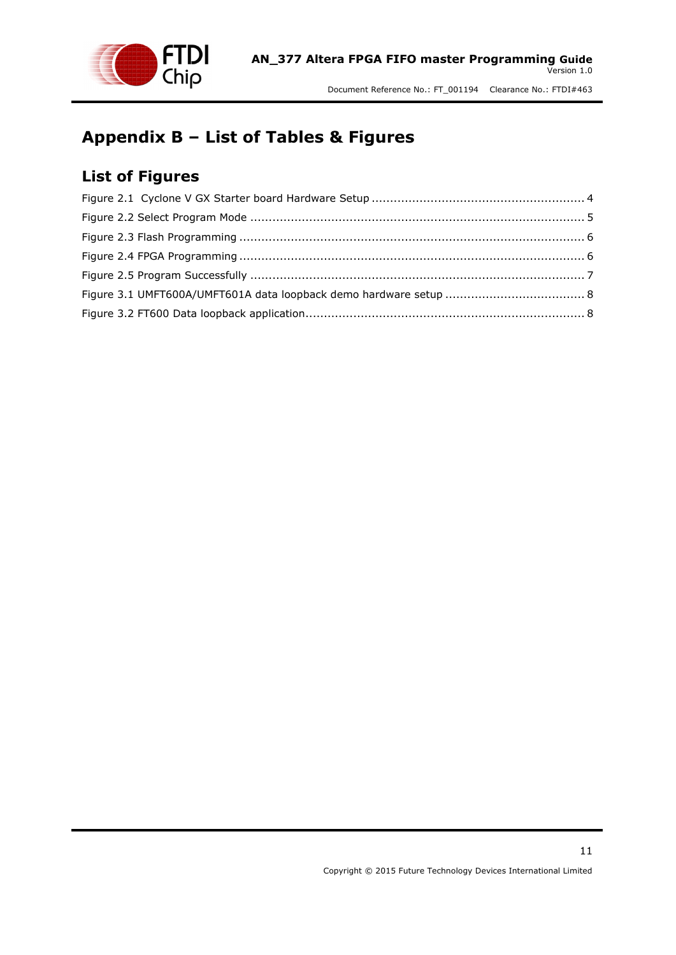

# <span id="page-10-0"></span>**Appendix B – List of Tables & Figures**

### <span id="page-10-1"></span>**List of Figures**